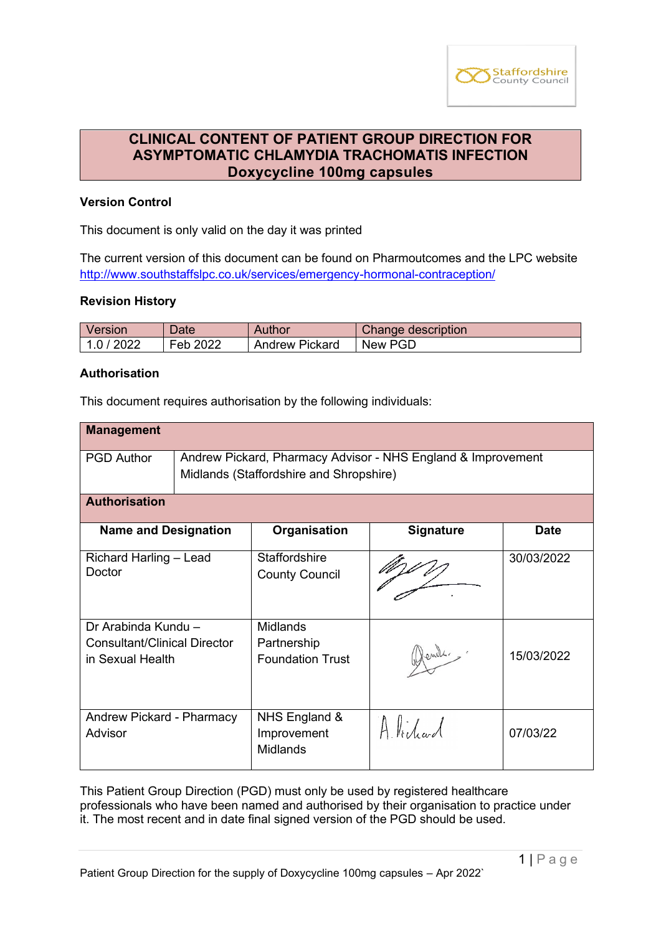

# **CLINICAL CONTENT OF PATIENT GROUP DIRECTION FOR ASYMPTOMATIC CHLAMYDIA TRACHOMATIS INFECTION Doxycycline 100mg capsules**

# **Version Control**

This document is only valid on the day it was printed

The current version of this document can be found on Pharmoutcomes and the LPC website <http://www.southstaffslpc.co.uk/services/emergency-hormonal-contraception/>

## **Revision History**

| Version    | Date     | Author         | Change description |
|------------|----------|----------------|--------------------|
| 1.0 / 2022 | Feb 2022 | Andrew Pickard | New PGD            |

#### **Authorisation**

This document requires authorisation by the following individuals:

| <b>Management</b>                                                              |                                                                                                         |                                                           |                  |             |
|--------------------------------------------------------------------------------|---------------------------------------------------------------------------------------------------------|-----------------------------------------------------------|------------------|-------------|
| <b>PGD Author</b>                                                              | Andrew Pickard, Pharmacy Advisor - NHS England & Improvement<br>Midlands (Staffordshire and Shropshire) |                                                           |                  |             |
| <b>Authorisation</b>                                                           |                                                                                                         |                                                           |                  |             |
| <b>Name and Designation</b>                                                    |                                                                                                         | Organisation                                              | <b>Signature</b> | <b>Date</b> |
| Richard Harling - Lead<br>Doctor                                               |                                                                                                         | <b>Staffordshire</b><br><b>County Council</b>             |                  | 30/03/2022  |
| Dr Arabinda Kundu -<br><b>Consultant/Clinical Director</b><br>in Sexual Health |                                                                                                         | <b>Midlands</b><br>Partnership<br><b>Foundation Trust</b> | Hends.           | 15/03/2022  |
| Andrew Pickard - Pharmacy<br>Advisor                                           |                                                                                                         | NHS England &<br>Improvement<br><b>Midlands</b>           | Alidad           | 07/03/22    |

This Patient Group Direction (PGD) must only be used by registered healthcare professionals who have been named and authorised by their organisation to practice under it. The most recent and in date final signed version of the PGD should be used.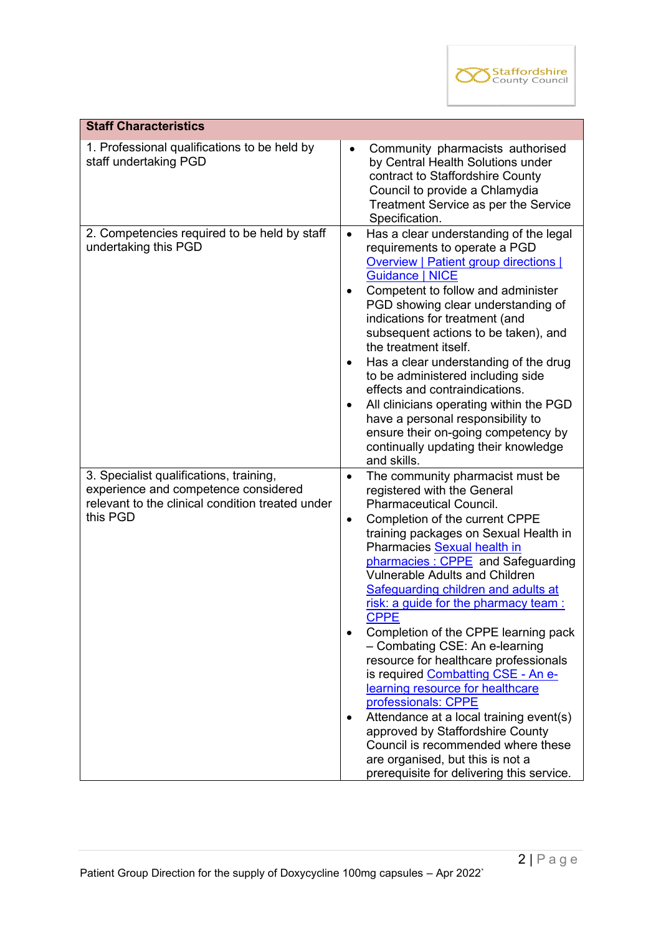

| <b>Staff Characteristics</b>                                                                                                                    |                                                                                                                                                                                                                                                                                                                                                                                                                                                                                                                                                                                                                                                                                                                                                                                                                                                   |
|-------------------------------------------------------------------------------------------------------------------------------------------------|---------------------------------------------------------------------------------------------------------------------------------------------------------------------------------------------------------------------------------------------------------------------------------------------------------------------------------------------------------------------------------------------------------------------------------------------------------------------------------------------------------------------------------------------------------------------------------------------------------------------------------------------------------------------------------------------------------------------------------------------------------------------------------------------------------------------------------------------------|
| 1. Professional qualifications to be held by<br>staff undertaking PGD                                                                           | Community pharmacists authorised<br>$\bullet$<br>by Central Health Solutions under<br>contract to Staffordshire County<br>Council to provide a Chlamydia<br>Treatment Service as per the Service<br>Specification.                                                                                                                                                                                                                                                                                                                                                                                                                                                                                                                                                                                                                                |
| 2. Competencies required to be held by staff<br>undertaking this PGD                                                                            | Has a clear understanding of the legal<br>$\bullet$<br>requirements to operate a PGD<br><b>Overview   Patient group directions  </b><br><b>Guidance   NICE</b><br>Competent to follow and administer<br>PGD showing clear understanding of<br>indications for treatment (and<br>subsequent actions to be taken), and<br>the treatment itself.<br>Has a clear understanding of the drug<br>٠<br>to be administered including side<br>effects and contraindications.<br>All clinicians operating within the PGD<br>$\bullet$<br>have a personal responsibility to<br>ensure their on-going competency by<br>continually updating their knowledge<br>and skills.                                                                                                                                                                                     |
| 3. Specialist qualifications, training,<br>experience and competence considered<br>relevant to the clinical condition treated under<br>this PGD | The community pharmacist must be<br>$\bullet$<br>registered with the General<br><b>Pharmaceutical Council.</b><br>Completion of the current CPPE<br>$\bullet$<br>training packages on Sexual Health in<br>Pharmacies Sexual health in<br>pharmacies: CPPE and Safeguarding<br><b>Vulnerable Adults and Children</b><br>Safeguarding children and adults at<br>risk: a guide for the pharmacy team :<br><b>CPPE</b><br>Completion of the CPPE learning pack<br>- Combating CSE: An e-learning<br>resource for healthcare professionals<br>is required Combatting CSE - An e-<br>learning resource for healthcare<br>professionals: CPPE<br>Attendance at a local training event(s)<br>٠<br>approved by Staffordshire County<br>Council is recommended where these<br>are organised, but this is not a<br>prerequisite for delivering this service. |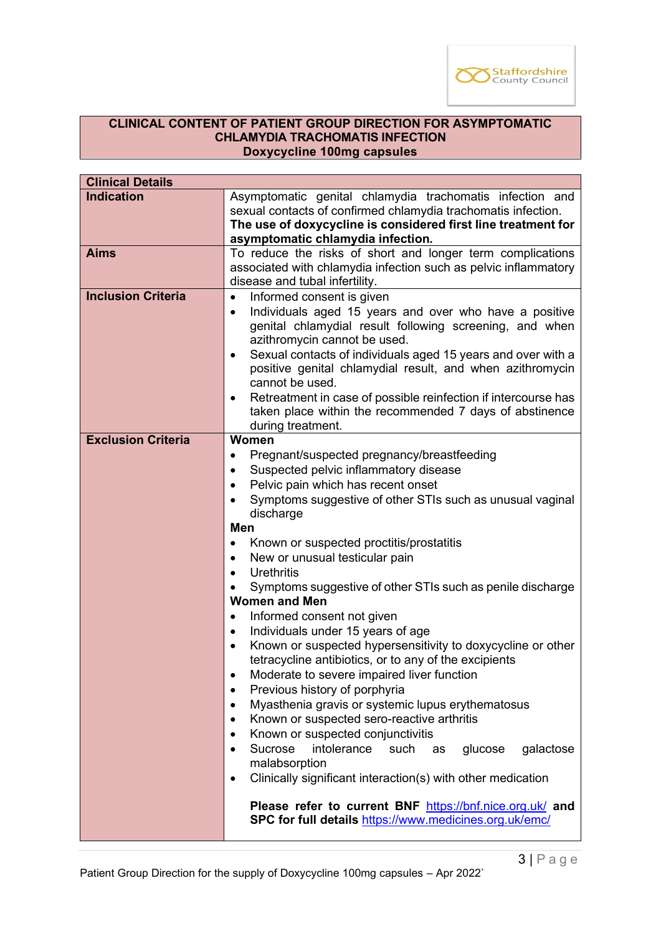

#### **CLINICAL CONTENT OF PATIENT GROUP DIRECTION FOR ASYMPTOMATIC CHLAMYDIA TRACHOMATIS INFECTION Doxycycline 100mg capsules**

| <b>Clinical Details</b>   |                                                                                              |  |  |
|---------------------------|----------------------------------------------------------------------------------------------|--|--|
| <b>Indication</b>         | Asymptomatic genital chlamydia trachomatis infection and                                     |  |  |
|                           | sexual contacts of confirmed chlamydia trachomatis infection.                                |  |  |
|                           | The use of doxycycline is considered first line treatment for                                |  |  |
|                           | asymptomatic chlamydia infection.                                                            |  |  |
| <b>Aims</b>               | To reduce the risks of short and longer term complications                                   |  |  |
|                           | associated with chlamydia infection such as pelvic inflammatory                              |  |  |
|                           | disease and tubal infertility.                                                               |  |  |
| <b>Inclusion Criteria</b> | Informed consent is given<br>$\bullet$                                                       |  |  |
|                           | Individuals aged 15 years and over who have a positive<br>$\bullet$                          |  |  |
|                           | genital chlamydial result following screening, and when                                      |  |  |
|                           | azithromycin cannot be used.<br>Sexual contacts of individuals aged 15 years and over with a |  |  |
|                           | $\bullet$<br>positive genital chlamydial result, and when azithromycin                       |  |  |
|                           | cannot be used.                                                                              |  |  |
|                           | Retreatment in case of possible reinfection if intercourse has<br>$\bullet$                  |  |  |
|                           | taken place within the recommended 7 days of abstinence                                      |  |  |
|                           | during treatment.                                                                            |  |  |
| <b>Exclusion Criteria</b> | Women                                                                                        |  |  |
|                           | Pregnant/suspected pregnancy/breastfeeding<br>$\bullet$                                      |  |  |
|                           | Suspected pelvic inflammatory disease                                                        |  |  |
|                           | Pelvic pain which has recent onset                                                           |  |  |
|                           | Symptoms suggestive of other STIs such as unusual vaginal                                    |  |  |
|                           | discharge                                                                                    |  |  |
|                           | Men                                                                                          |  |  |
|                           | Known or suspected proctitis/prostatitis                                                     |  |  |
|                           | New or unusual testicular pain<br>$\bullet$                                                  |  |  |
|                           | Urethritis                                                                                   |  |  |
|                           | Symptoms suggestive of other STIs such as penile discharge                                   |  |  |
|                           | <b>Women and Men</b>                                                                         |  |  |
|                           | Informed consent not given                                                                   |  |  |
|                           | Individuals under 15 years of age<br>$\bullet$                                               |  |  |
|                           | Known or suspected hypersensitivity to doxycycline or other                                  |  |  |
|                           | tetracycline antibiotics, or to any of the excipients                                        |  |  |
|                           | Moderate to severe impaired liver function<br>$\bullet$                                      |  |  |
|                           | Previous history of porphyria<br>$\bullet$<br>$\bullet$                                      |  |  |
|                           | Myasthenia gravis or systemic lupus erythematosus                                            |  |  |
|                           | Known or suspected sero-reactive arthritis                                                   |  |  |
|                           | Known or suspected conjunctivitis                                                            |  |  |
|                           | Sucrose<br>intolerance<br>such<br>as<br>glucose<br>galactose<br>malabsorption                |  |  |
|                           | Clinically significant interaction(s) with other medication                                  |  |  |
|                           | $\bullet$                                                                                    |  |  |
|                           | Please refer to current BNF https://bnf.nice.org.uk/ and                                     |  |  |
|                           | SPC for full details https://www.medicines.org.uk/emc/                                       |  |  |
|                           |                                                                                              |  |  |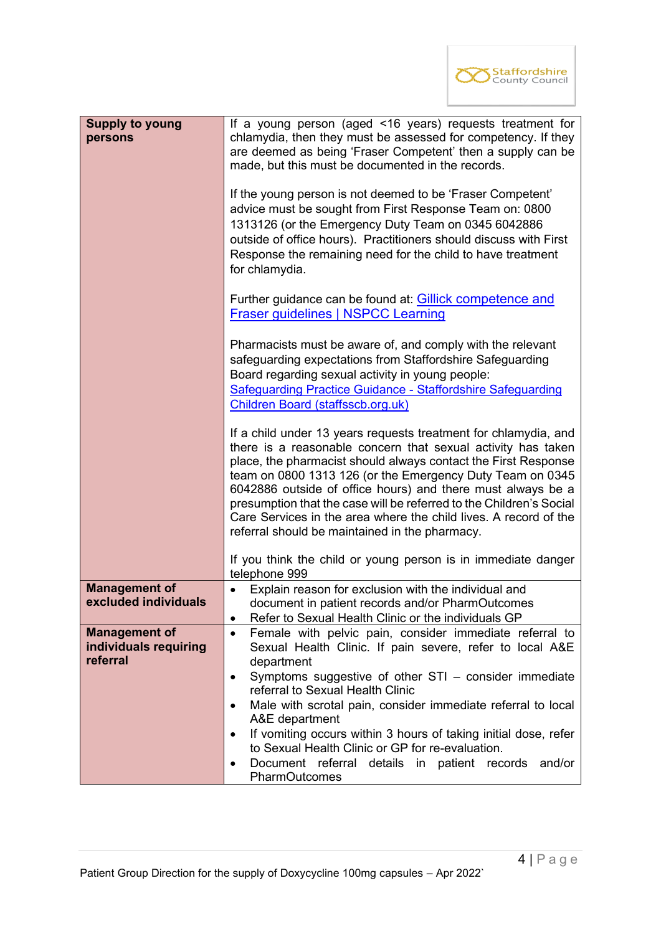

| <b>Supply to young</b><br>persons                         | If a young person (aged <16 years) requests treatment for<br>chlamydia, then they must be assessed for competency. If they<br>are deemed as being 'Fraser Competent' then a supply can be<br>made, but this must be documented in the records.<br>If the young person is not deemed to be 'Fraser Competent'<br>advice must be sought from First Response Team on: 0800<br>1313126 (or the Emergency Duty Team on 0345 6042886<br>outside of office hours). Practitioners should discuss with First<br>Response the remaining need for the child to have treatment |  |  |
|-----------------------------------------------------------|--------------------------------------------------------------------------------------------------------------------------------------------------------------------------------------------------------------------------------------------------------------------------------------------------------------------------------------------------------------------------------------------------------------------------------------------------------------------------------------------------------------------------------------------------------------------|--|--|
|                                                           | for chlamydia.<br>Further guidance can be found at: <b>Gillick competence and</b><br><b>Fraser guidelines   NSPCC Learning</b>                                                                                                                                                                                                                                                                                                                                                                                                                                     |  |  |
|                                                           | Pharmacists must be aware of, and comply with the relevant<br>safeguarding expectations from Staffordshire Safeguarding<br>Board regarding sexual activity in young people:<br>Safeguarding Practice Guidance - Staffordshire Safeguarding<br>Children Board (staffsscb.org.uk)                                                                                                                                                                                                                                                                                    |  |  |
|                                                           | If a child under 13 years requests treatment for chlamydia, and<br>there is a reasonable concern that sexual activity has taken<br>place, the pharmacist should always contact the First Response<br>team on 0800 1313 126 (or the Emergency Duty Team on 0345<br>6042886 outside of office hours) and there must always be a<br>presumption that the case will be referred to the Children's Social<br>Care Services in the area where the child lives. A record of the<br>referral should be maintained in the pharmacy.                                         |  |  |
|                                                           | If you think the child or young person is in immediate danger<br>telephone 999                                                                                                                                                                                                                                                                                                                                                                                                                                                                                     |  |  |
| <b>Management of</b><br>excluded individuals              | Explain reason for exclusion with the individual and<br>document in patient records and/or PharmOutcomes<br>Refer to Sexual Health Clinic or the individuals GP<br>$\bullet$                                                                                                                                                                                                                                                                                                                                                                                       |  |  |
| <b>Management of</b><br>individuals requiring<br>referral | Female with pelvic pain, consider immediate referral to<br>$\bullet$<br>Sexual Health Clinic. If pain severe, refer to local A&E<br>department<br>Symptoms suggestive of other STI - consider immediate<br>$\bullet$                                                                                                                                                                                                                                                                                                                                               |  |  |
|                                                           | referral to Sexual Health Clinic<br>Male with scrotal pain, consider immediate referral to local<br>$\bullet$<br>A&E department                                                                                                                                                                                                                                                                                                                                                                                                                                    |  |  |
|                                                           | If vomiting occurs within 3 hours of taking initial dose, refer<br>to Sexual Health Clinic or GP for re-evaluation.<br>Document referral details in patient records<br>and/or<br>PharmOutcomes                                                                                                                                                                                                                                                                                                                                                                     |  |  |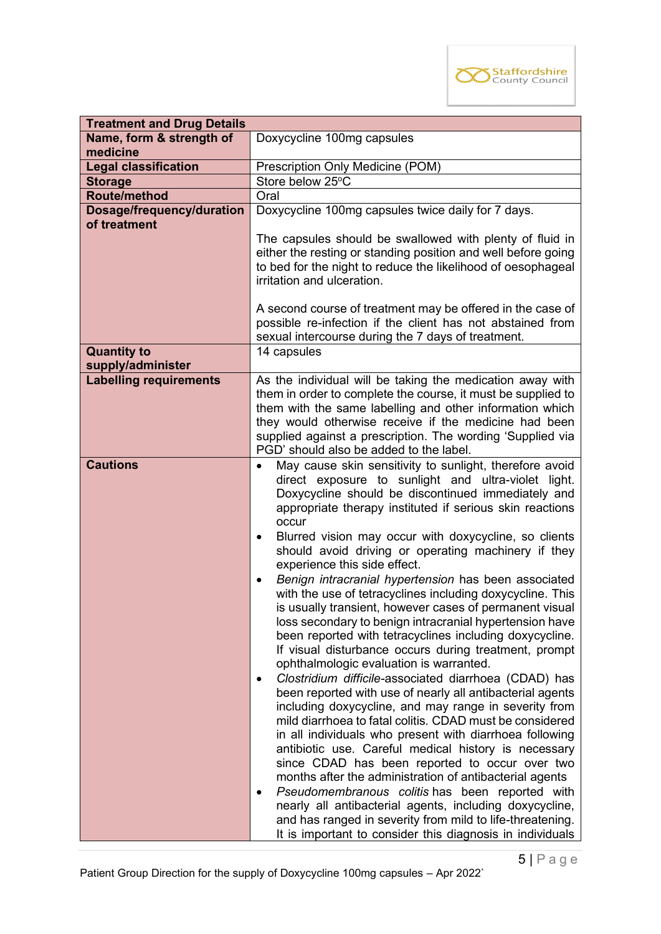

| <b>Treatment and Drug Details</b> |                                                                                                                                                                                                                                                                                                                                                                                                                                                                                                                                                                                                                                                                                                                                                                                                                                                                                                                                                                                                                                                                                                                                                                                                                                                                                                                                                                                                                                                                                                                                                               |  |
|-----------------------------------|---------------------------------------------------------------------------------------------------------------------------------------------------------------------------------------------------------------------------------------------------------------------------------------------------------------------------------------------------------------------------------------------------------------------------------------------------------------------------------------------------------------------------------------------------------------------------------------------------------------------------------------------------------------------------------------------------------------------------------------------------------------------------------------------------------------------------------------------------------------------------------------------------------------------------------------------------------------------------------------------------------------------------------------------------------------------------------------------------------------------------------------------------------------------------------------------------------------------------------------------------------------------------------------------------------------------------------------------------------------------------------------------------------------------------------------------------------------------------------------------------------------------------------------------------------------|--|
| Name, form & strength of          | Doxycycline 100mg capsules                                                                                                                                                                                                                                                                                                                                                                                                                                                                                                                                                                                                                                                                                                                                                                                                                                                                                                                                                                                                                                                                                                                                                                                                                                                                                                                                                                                                                                                                                                                                    |  |
| medicine                          |                                                                                                                                                                                                                                                                                                                                                                                                                                                                                                                                                                                                                                                                                                                                                                                                                                                                                                                                                                                                                                                                                                                                                                                                                                                                                                                                                                                                                                                                                                                                                               |  |
| <b>Legal classification</b>       | Prescription Only Medicine (POM)                                                                                                                                                                                                                                                                                                                                                                                                                                                                                                                                                                                                                                                                                                                                                                                                                                                                                                                                                                                                                                                                                                                                                                                                                                                                                                                                                                                                                                                                                                                              |  |
| <b>Storage</b>                    | Store below 25°C                                                                                                                                                                                                                                                                                                                                                                                                                                                                                                                                                                                                                                                                                                                                                                                                                                                                                                                                                                                                                                                                                                                                                                                                                                                                                                                                                                                                                                                                                                                                              |  |
| <b>Route/method</b>               | Oral                                                                                                                                                                                                                                                                                                                                                                                                                                                                                                                                                                                                                                                                                                                                                                                                                                                                                                                                                                                                                                                                                                                                                                                                                                                                                                                                                                                                                                                                                                                                                          |  |
| Dosage/frequency/duration         | Doxycycline 100mg capsules twice daily for 7 days.                                                                                                                                                                                                                                                                                                                                                                                                                                                                                                                                                                                                                                                                                                                                                                                                                                                                                                                                                                                                                                                                                                                                                                                                                                                                                                                                                                                                                                                                                                            |  |
| of treatment                      | The capsules should be swallowed with plenty of fluid in<br>either the resting or standing position and well before going<br>to bed for the night to reduce the likelihood of oesophageal<br>irritation and ulceration.<br>A second course of treatment may be offered in the case of<br>possible re-infection if the client has not abstained from                                                                                                                                                                                                                                                                                                                                                                                                                                                                                                                                                                                                                                                                                                                                                                                                                                                                                                                                                                                                                                                                                                                                                                                                           |  |
|                                   | sexual intercourse during the 7 days of treatment.                                                                                                                                                                                                                                                                                                                                                                                                                                                                                                                                                                                                                                                                                                                                                                                                                                                                                                                                                                                                                                                                                                                                                                                                                                                                                                                                                                                                                                                                                                            |  |
| <b>Quantity to</b>                | 14 capsules                                                                                                                                                                                                                                                                                                                                                                                                                                                                                                                                                                                                                                                                                                                                                                                                                                                                                                                                                                                                                                                                                                                                                                                                                                                                                                                                                                                                                                                                                                                                                   |  |
| supply/administer                 |                                                                                                                                                                                                                                                                                                                                                                                                                                                                                                                                                                                                                                                                                                                                                                                                                                                                                                                                                                                                                                                                                                                                                                                                                                                                                                                                                                                                                                                                                                                                                               |  |
| <b>Labelling requirements</b>     | As the individual will be taking the medication away with<br>them in order to complete the course, it must be supplied to<br>them with the same labelling and other information which<br>they would otherwise receive if the medicine had been<br>supplied against a prescription. The wording 'Supplied via<br>PGD' should also be added to the label.                                                                                                                                                                                                                                                                                                                                                                                                                                                                                                                                                                                                                                                                                                                                                                                                                                                                                                                                                                                                                                                                                                                                                                                                       |  |
| <b>Cautions</b>                   | May cause skin sensitivity to sunlight, therefore avoid<br>$\bullet$<br>direct exposure to sunlight and ultra-violet light.<br>Doxycycline should be discontinued immediately and<br>appropriate therapy instituted if serious skin reactions<br>occur<br>Blurred vision may occur with doxycycline, so clients<br>$\bullet$<br>should avoid driving or operating machinery if they<br>experience this side effect.<br>Benign intracranial hypertension has been associated<br>$\bullet$<br>with the use of tetracyclines including doxycycline. This<br>is usually transient, however cases of permanent visual<br>loss secondary to benign intracranial hypertension have<br>been reported with tetracyclines including doxycycline.<br>If visual disturbance occurs during treatment, prompt<br>ophthalmologic evaluation is warranted.<br>Clostridium difficile-associated diarrhoea (CDAD) has<br>been reported with use of nearly all antibacterial agents<br>including doxycycline, and may range in severity from<br>mild diarrhoea to fatal colitis. CDAD must be considered<br>in all individuals who present with diarrhoea following<br>antibiotic use. Careful medical history is necessary<br>since CDAD has been reported to occur over two<br>months after the administration of antibacterial agents<br>Pseudomembranous colitis has been reported with<br>nearly all antibacterial agents, including doxycycline,<br>and has ranged in severity from mild to life-threatening.<br>It is important to consider this diagnosis in individuals |  |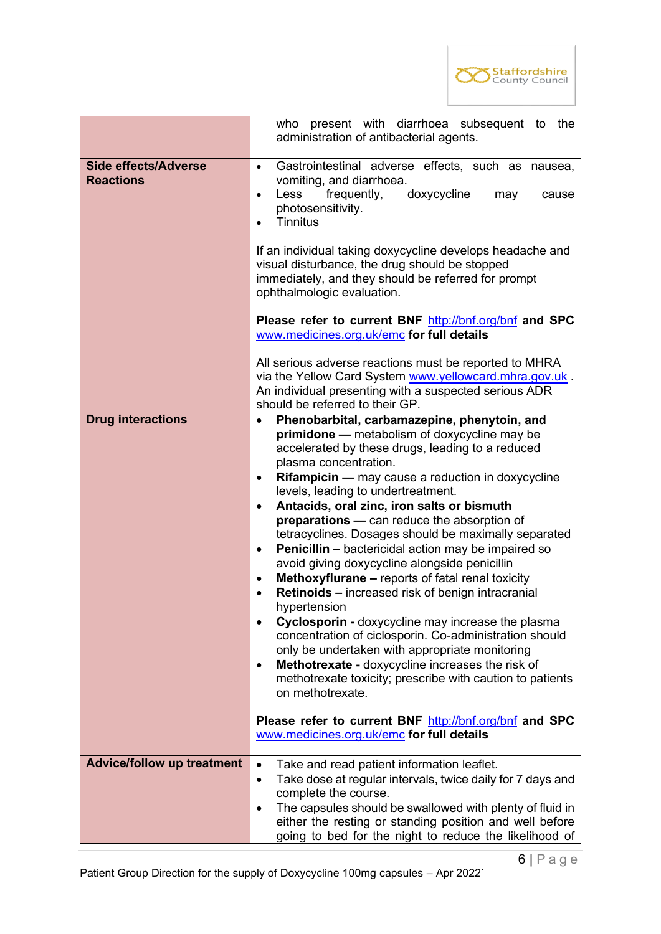

|                                                 | present with diarrhoea subsequent to the<br>who<br>administration of antibacterial agents.                                                                                                                                                                                                                                                                                                                                                                                                                                                                                                                                                                                                                                                                                                                                                                                                                                                                                                                                                                |  |  |  |
|-------------------------------------------------|-----------------------------------------------------------------------------------------------------------------------------------------------------------------------------------------------------------------------------------------------------------------------------------------------------------------------------------------------------------------------------------------------------------------------------------------------------------------------------------------------------------------------------------------------------------------------------------------------------------------------------------------------------------------------------------------------------------------------------------------------------------------------------------------------------------------------------------------------------------------------------------------------------------------------------------------------------------------------------------------------------------------------------------------------------------|--|--|--|
| <b>Side effects/Adverse</b><br><b>Reactions</b> | Gastrointestinal adverse effects, such as nausea,<br>$\bullet$<br>vomiting, and diarrhoea.<br>frequently,<br>doxycycline<br>Less<br>may<br>cause<br>$\bullet$<br>photosensitivity.<br><b>Tinnitus</b><br>$\bullet$                                                                                                                                                                                                                                                                                                                                                                                                                                                                                                                                                                                                                                                                                                                                                                                                                                        |  |  |  |
|                                                 | If an individual taking doxycycline develops headache and<br>visual disturbance, the drug should be stopped<br>immediately, and they should be referred for prompt<br>ophthalmologic evaluation.                                                                                                                                                                                                                                                                                                                                                                                                                                                                                                                                                                                                                                                                                                                                                                                                                                                          |  |  |  |
|                                                 | Please refer to current BNF http://bnf.org/bnf and SPC<br>www.medicines.org.uk/emc for full details                                                                                                                                                                                                                                                                                                                                                                                                                                                                                                                                                                                                                                                                                                                                                                                                                                                                                                                                                       |  |  |  |
|                                                 | All serious adverse reactions must be reported to MHRA<br>via the Yellow Card System www.yellowcard.mhra.gov.uk.<br>An individual presenting with a suspected serious ADR<br>should be referred to their GP.                                                                                                                                                                                                                                                                                                                                                                                                                                                                                                                                                                                                                                                                                                                                                                                                                                              |  |  |  |
| <b>Drug interactions</b>                        | Phenobarbital, carbamazepine, phenytoin, and<br>$\bullet$<br><b>primidone</b> — metabolism of doxycycline may be<br>accelerated by these drugs, leading to a reduced<br>plasma concentration.<br>Rifampicin - may cause a reduction in doxycycline<br>٠<br>levels, leading to undertreatment.<br>Antacids, oral zinc, iron salts or bismuth<br>$\bullet$<br><b>preparations</b> — can reduce the absorption of<br>tetracyclines. Dosages should be maximally separated<br><b>Penicillin - bactericidal action may be impaired so</b><br>$\bullet$<br>avoid giving doxycycline alongside penicillin<br><b>Methoxyflurane - reports of fatal renal toxicity</b><br>٠<br><b>Retinoids – increased risk of benign intracranial</b><br>hvpertension<br>Cyclosporin - doxycycline may increase the plasma<br>concentration of ciclosporin. Co-administration should<br>only be undertaken with appropriate monitoring<br>Methotrexate - doxycycline increases the risk of<br>٠<br>methotrexate toxicity; prescribe with caution to patients<br>on methotrexate. |  |  |  |
|                                                 | Please refer to current BNF http://bnf.org/bnf and SPC<br>www.medicines.org.uk/emc for full details                                                                                                                                                                                                                                                                                                                                                                                                                                                                                                                                                                                                                                                                                                                                                                                                                                                                                                                                                       |  |  |  |
| <b>Advice/follow up treatment</b>               | Take and read patient information leaflet.<br>$\bullet$<br>Take dose at regular intervals, twice daily for 7 days and<br>$\bullet$<br>complete the course.<br>The capsules should be swallowed with plenty of fluid in<br>$\bullet$<br>either the resting or standing position and well before<br>going to bed for the night to reduce the likelihood of                                                                                                                                                                                                                                                                                                                                                                                                                                                                                                                                                                                                                                                                                                  |  |  |  |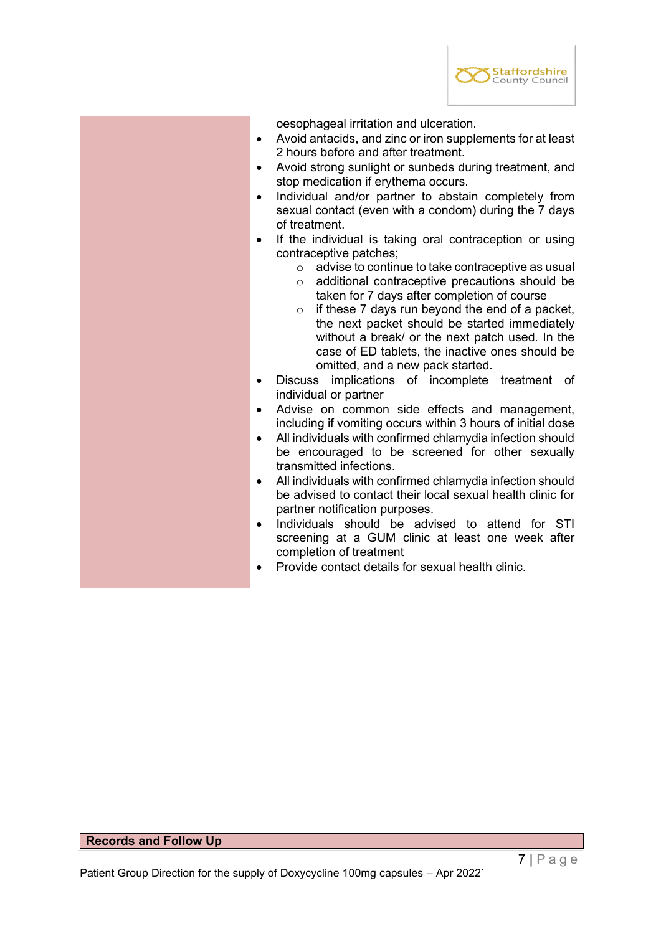

| oesophageal irritation and ulceration.                                                                   |  |  |
|----------------------------------------------------------------------------------------------------------|--|--|
| Avoid antacids, and zinc or iron supplements for at least<br>$\bullet$                                   |  |  |
| 2 hours before and after treatment.                                                                      |  |  |
| Avoid strong sunlight or sunbeds during treatment, and<br>$\bullet$                                      |  |  |
| stop medication if erythema occurs.                                                                      |  |  |
| Individual and/or partner to abstain completely from<br>$\bullet$                                        |  |  |
| sexual contact (even with a condom) during the 7 days                                                    |  |  |
| of treatment.                                                                                            |  |  |
|                                                                                                          |  |  |
| If the individual is taking oral contraception or using<br>$\bullet$<br>contraceptive patches;           |  |  |
| advise to continue to take contraceptive as usual<br>$\circ$                                             |  |  |
|                                                                                                          |  |  |
| additional contraceptive precautions should be<br>$\circ$<br>taken for 7 days after completion of course |  |  |
| if these 7 days run beyond the end of a packet,<br>$\circ$                                               |  |  |
| the next packet should be started immediately                                                            |  |  |
| without a break/ or the next patch used. In the                                                          |  |  |
| case of ED tablets, the inactive ones should be                                                          |  |  |
| omitted, and a new pack started.                                                                         |  |  |
| implications of incomplete treatment of<br><b>Discuss</b><br>$\bullet$                                   |  |  |
| individual or partner                                                                                    |  |  |
| Advise on common side effects and management,<br>$\bullet$                                               |  |  |
|                                                                                                          |  |  |
| including if vomiting occurs within 3 hours of initial dose                                              |  |  |
| All individuals with confirmed chlamydia infection should<br>$\bullet$                                   |  |  |
| be encouraged to be screened for other sexually                                                          |  |  |
| transmitted infections.                                                                                  |  |  |
| All individuals with confirmed chlamydia infection should<br>$\bullet$                                   |  |  |
| be advised to contact their local sexual health clinic for                                               |  |  |
| partner notification purposes.                                                                           |  |  |
| Individuals should be advised to attend for STI<br>$\bullet$                                             |  |  |
| screening at a GUM clinic at least one week after                                                        |  |  |
| completion of treatment                                                                                  |  |  |
| Provide contact details for sexual health clinic.                                                        |  |  |
|                                                                                                          |  |  |

# **Records and Follow Up**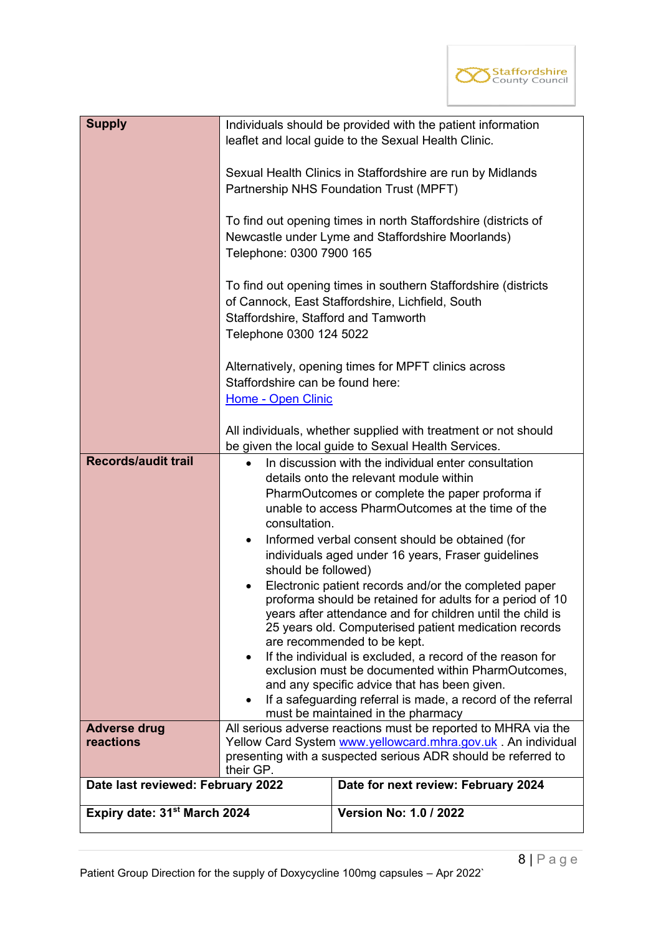

| <b>Supply</b>                            | Telephone: 0300 7900 165<br>Staffordshire, Stafford and Tamworth<br>Telephone 0300 124 5022                                                                                                                                                                                                                                                                                                                                                                                                                                                                                                                                                                                                                                                                                                                                                                                                                                                 | Individuals should be provided with the patient information<br>leaflet and local guide to the Sexual Health Clinic.<br>Sexual Health Clinics in Staffordshire are run by Midlands<br>Partnership NHS Foundation Trust (MPFT)<br>To find out opening times in north Staffordshire (districts of<br>Newcastle under Lyme and Staffordshire Moorlands)<br>To find out opening times in southern Staffordshire (districts<br>of Cannock, East Staffordshire, Lichfield, South |  |
|------------------------------------------|---------------------------------------------------------------------------------------------------------------------------------------------------------------------------------------------------------------------------------------------------------------------------------------------------------------------------------------------------------------------------------------------------------------------------------------------------------------------------------------------------------------------------------------------------------------------------------------------------------------------------------------------------------------------------------------------------------------------------------------------------------------------------------------------------------------------------------------------------------------------------------------------------------------------------------------------|---------------------------------------------------------------------------------------------------------------------------------------------------------------------------------------------------------------------------------------------------------------------------------------------------------------------------------------------------------------------------------------------------------------------------------------------------------------------------|--|
|                                          | Alternatively, opening times for MPFT clinics across<br>Staffordshire can be found here:<br>Home - Open Clinic<br>All individuals, whether supplied with treatment or not should                                                                                                                                                                                                                                                                                                                                                                                                                                                                                                                                                                                                                                                                                                                                                            |                                                                                                                                                                                                                                                                                                                                                                                                                                                                           |  |
| <b>Records/audit trail</b>               | be given the local guide to Sexual Health Services.<br>In discussion with the individual enter consultation<br>details onto the relevant module within<br>PharmOutcomes or complete the paper proforma if<br>unable to access PharmOutcomes at the time of the<br>consultation.<br>Informed verbal consent should be obtained (for<br>$\bullet$<br>individuals aged under 16 years, Fraser guidelines<br>should be followed)<br>Electronic patient records and/or the completed paper<br>proforma should be retained for adults for a period of 10<br>years after attendance and for children until the child is<br>25 years old. Computerised patient medication records<br>are recommended to be kept.<br>If the individual is excluded, a record of the reason for<br>exclusion must be documented within PharmOutcomes,<br>and any specific advice that has been given.<br>If a safeguarding referral is made, a record of the referral |                                                                                                                                                                                                                                                                                                                                                                                                                                                                           |  |
| <b>Adverse drug</b><br>reactions         |                                                                                                                                                                                                                                                                                                                                                                                                                                                                                                                                                                                                                                                                                                                                                                                                                                                                                                                                             | All serious adverse reactions must be reported to MHRA via the<br>Yellow Card System www.yellowcard.mhra.gov.uk . An individual                                                                                                                                                                                                                                                                                                                                           |  |
| Date last reviewed: February 2022        | their GP.                                                                                                                                                                                                                                                                                                                                                                                                                                                                                                                                                                                                                                                                                                                                                                                                                                                                                                                                   | presenting with a suspected serious ADR should be referred to<br>Date for next review: February 2024                                                                                                                                                                                                                                                                                                                                                                      |  |
|                                          |                                                                                                                                                                                                                                                                                                                                                                                                                                                                                                                                                                                                                                                                                                                                                                                                                                                                                                                                             |                                                                                                                                                                                                                                                                                                                                                                                                                                                                           |  |
| Expiry date: 31 <sup>st</sup> March 2024 |                                                                                                                                                                                                                                                                                                                                                                                                                                                                                                                                                                                                                                                                                                                                                                                                                                                                                                                                             | <b>Version No: 1.0 / 2022</b>                                                                                                                                                                                                                                                                                                                                                                                                                                             |  |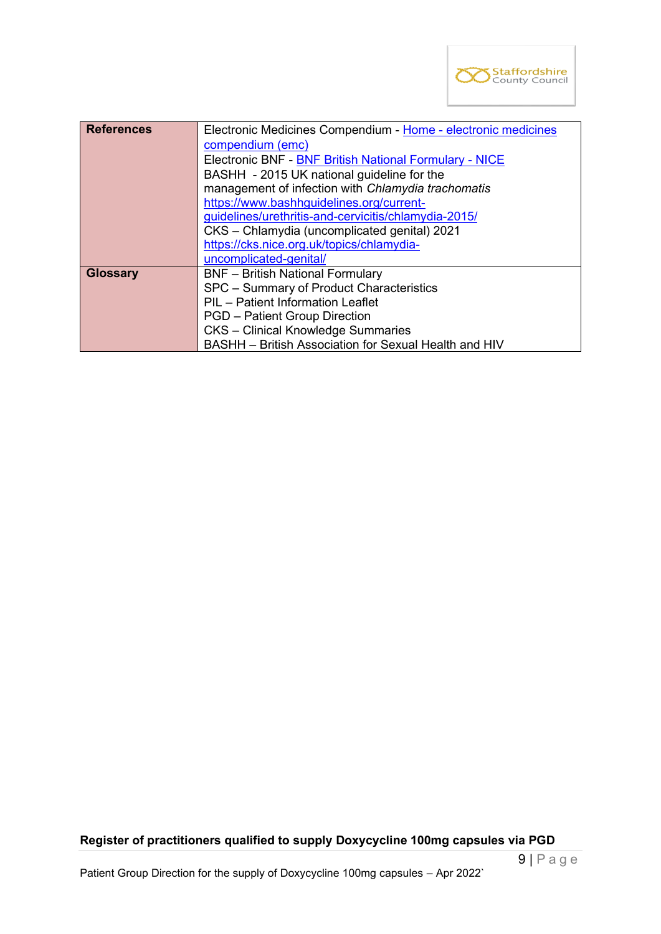

| <b>References</b> | Electronic Medicines Compendium - Home - electronic medicines |  |
|-------------------|---------------------------------------------------------------|--|
|                   | compendium (emc)                                              |  |
|                   | <b>Electronic BNF - BNF British National Formulary - NICE</b> |  |
|                   | BASHH - 2015 UK national guideline for the                    |  |
|                   | management of infection with Chlamydia trachomatis            |  |
|                   | https://www.bashhguidelines.org/current-                      |  |
|                   | guidelines/urethritis-and-cervicitis/chlamydia-2015/          |  |
|                   | CKS - Chlamydia (uncomplicated genital) 2021                  |  |
|                   | https://cks.nice.org.uk/topics/chlamydia-                     |  |
|                   | uncomplicated-genital/                                        |  |
| <b>Glossary</b>   | <b>BNF</b> - British National Formulary                       |  |
|                   | SPC - Summary of Product Characteristics                      |  |
|                   | PIL - Patient Information Leaflet                             |  |
|                   | <b>PGD</b> – Patient Group Direction                          |  |
|                   | <b>CKS</b> - Clinical Knowledge Summaries                     |  |
|                   | BASHH - British Association for Sexual Health and HIV         |  |

# **Register of practitioners qualified to supply Doxycycline 100mg capsules via PGD**